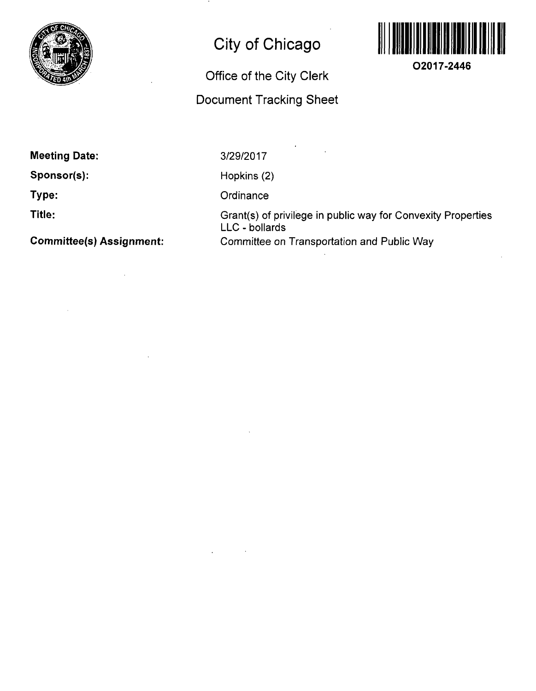

## **City of Chicago**

## **Office of the City Clerk Document Tracking Sheet**



**O2017-2446** 

**Meeting Date:** 

**Sponsor(s):** 

**Type:** 

**Title:** 

**Committee(s) Assignment:** 

3/29/2017

Hopkins (2)

**Ordinance** 

Grant(s) of privilege in public way for Convexity Properties LLC - bollards Committee on Transportation and Public Way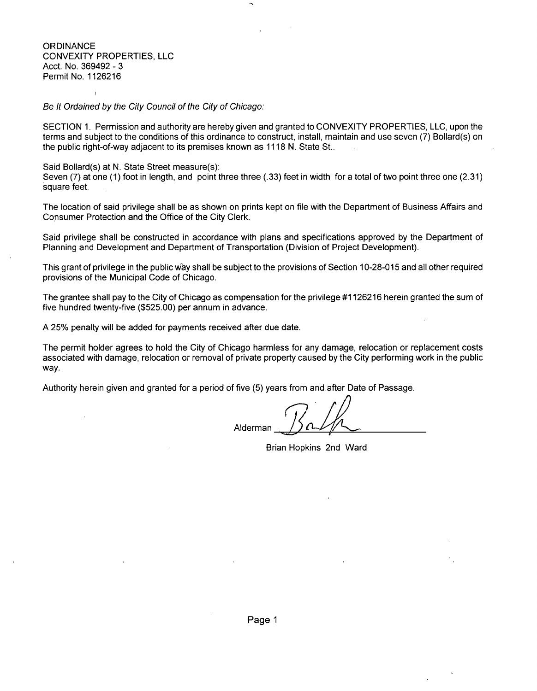**ORDINANCE** CONVEXITY PROPERTIES, LLC Acct. No. 369492 - 3 Permit No. 1126216

 $\overline{1}$ 

Be It Ordained by the City Council of the City of Chicago:

SECTION 1. Permission and authority are hereby given and granted to CONVEXITY PROPERTIES, LLC, upon the terms and subject to the conditions of this ordinance to construct, install, maintain and use seven (7) Bollard(s) on the public right-of-way adjacent to its premises known as 1118 N. State St..

Said Bollard(s) at N. State Street measure(s):

Seven (7) at one (1) foot in length, and point three three (.33) feet in width for a total of two point three one (2.31) square feet.

The location of said privilege shall be as shown on prints kept on file with the Department of Business Affairs and Consumer Protection and the Office of the City Clerk.

Said privilege shall be constructed in accordance with plans and specifications approved by the Department of Planning and Development and Department of Transportation (Division of Project Development).

This grant of privilege in the public way shall be subject to the provisions of Section 10-28-015 and all other required provisions of the Municipal Code of Chicago.

The grantee shall pay to the City of Chicago as compensation for the privilege #1126216 herein granted the sum of five hundred twenty-five (\$525.00) per annum in advance.

A 25% penalty will be added for payments received after due date.

The permit holder agrees to hold the City of Chicago harmless for any damage, relocation or replacement costs associated with damage, relocation or removal of private property caused by the City performing work in the public way.

Authority herein given and granted for a period of five (5) years from and after Date of Passage.

Alderman

Brian Hopkins 2nd Ward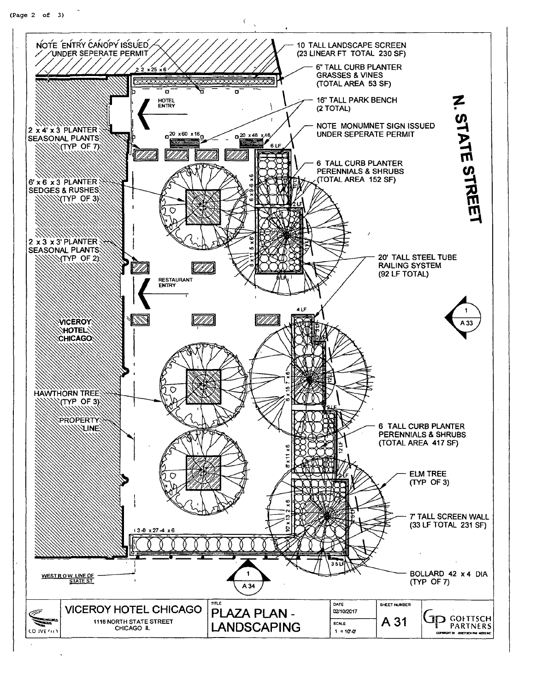